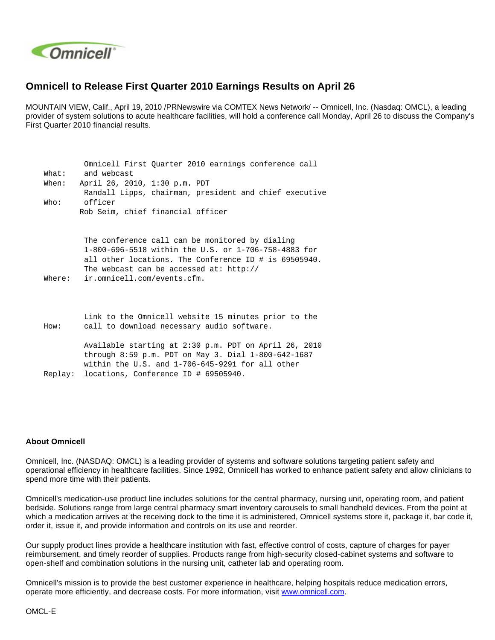

## **Omnicell to Release First Quarter 2010 Earnings Results on April 26**

MOUNTAIN VIEW, Calif., April 19, 2010 /PRNewswire via COMTEX News Network/ -- Omnicell, Inc. (Nasdaq: OMCL), a leading provider of system solutions to acute healthcare facilities, will hold a conference call Monday, April 26 to discuss the Company's First Quarter 2010 financial results.

|         | Omnicell First Quarter 2010 earnings conference call                                                    |
|---------|---------------------------------------------------------------------------------------------------------|
| What:   | and webcast                                                                                             |
| When:   | April 26, 2010, 1:30 p.m. PDT                                                                           |
|         | Randall Lipps, chairman, president and chief executive                                                  |
| Who:    | officer                                                                                                 |
|         | Rob Seim, chief financial officer                                                                       |
|         |                                                                                                         |
|         | The conference call can be monitored by dialing<br>1-800-696-5518 within the U.S. or 1-706-758-4883 for |
|         | all other locations. The Conference ID # is 69505940.                                                   |
|         | The webcast can be accessed at: $http://$                                                               |
| Where:  | ir.omnicell.com/events.cfm.                                                                             |
|         |                                                                                                         |
|         |                                                                                                         |
|         | Link to the Omnicell website 15 minutes prior to the                                                    |
| How:    | call to download necessary audio software.                                                              |
|         | Available starting at 2:30 p.m. PDT on April 26, 2010                                                   |
|         | through $8:59$ p.m. PDT on May 3. Dial $1-800-642-1687$                                                 |
|         | within the U.S. and $1-706-645-9291$ for all other                                                      |
| Replay: | locations, Conference ID # 69505940.                                                                    |
|         |                                                                                                         |

## **About Omnicell**

Omnicell, Inc. (NASDAQ: OMCL) is a leading provider of systems and software solutions targeting patient safety and operational efficiency in healthcare facilities. Since 1992, Omnicell has worked to enhance patient safety and allow clinicians to spend more time with their patients.

Omnicell's medication-use product line includes solutions for the central pharmacy, nursing unit, operating room, and patient bedside. Solutions range from large central pharmacy smart inventory carousels to small handheld devices. From the point at which a medication arrives at the receiving dock to the time it is administered, Omnicell systems store it, package it, bar code it, order it, issue it, and provide information and controls on its use and reorder.

Our supply product lines provide a healthcare institution with fast, effective control of costs, capture of charges for payer reimbursement, and timely reorder of supplies. Products range from high-security closed-cabinet systems and software to open-shelf and combination solutions in the nursing unit, catheter lab and operating room.

Omnicell's mission is to provide the best customer experience in healthcare, helping hospitals reduce medication errors, operate more efficiently, and decrease costs. For more information, visit [www.omnicell.com](http://www.omnicell.com/).